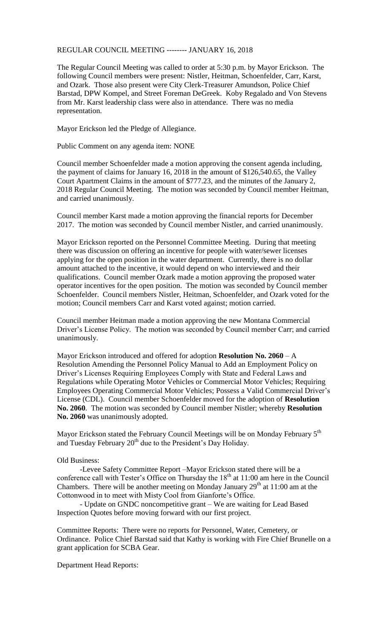## REGULAR COUNCIL MEETING -------- JANUARY 16, 2018

The Regular Council Meeting was called to order at 5:30 p.m. by Mayor Erickson. The following Council members were present: Nistler, Heitman, Schoenfelder, Carr, Karst, and Ozark. Those also present were City Clerk-Treasurer Amundson, Police Chief Barstad, DPW Kompel, and Street Foreman DeGreek. Koby Regalado and Von Stevens from Mr. Karst leadership class were also in attendance. There was no media representation.

Mayor Erickson led the Pledge of Allegiance.

Public Comment on any agenda item: NONE

Council member Schoenfelder made a motion approving the consent agenda including, the payment of claims for January 16, 2018 in the amount of \$126,540.65, the Valley Court Apartment Claims in the amount of \$777.23, and the minutes of the January 2, 2018 Regular Council Meeting. The motion was seconded by Council member Heitman, and carried unanimously.

Council member Karst made a motion approving the financial reports for December 2017. The motion was seconded by Council member Nistler, and carried unanimously.

Mayor Erickson reported on the Personnel Committee Meeting. During that meeting there was discussion on offering an incentive for people with water/sewer licenses applying for the open position in the water department. Currently, there is no dollar amount attached to the incentive, it would depend on who interviewed and their qualifications. Council member Ozark made a motion approving the proposed water operator incentives for the open position. The motion was seconded by Council member Schoenfelder. Council members Nistler, Heitman, Schoenfelder, and Ozark voted for the motion; Council members Carr and Karst voted against; motion carried.

Council member Heitman made a motion approving the new Montana Commercial Driver's License Policy. The motion was seconded by Council member Carr; and carried unanimously.

Mayor Erickson introduced and offered for adoption **Resolution No. 2060** – A Resolution Amending the Personnel Policy Manual to Add an Employment Policy on Driver's Licenses Requiring Employees Comply with State and Federal Laws and Regulations while Operating Motor Vehicles or Commercial Motor Vehicles; Requiring Employees Operating Commercial Motor Vehicles; Possess a Valid Commercial Driver's License (CDL). Council member Schoenfelder moved for the adoption of **Resolution No. 2060**. The motion was seconded by Council member Nistler; whereby **Resolution No. 2060** was unanimously adopted.

Mayor Erickson stated the February Council Meetings will be on Monday February 5<sup>th</sup> and Tuesday February  $20<sup>th</sup>$  due to the President's Day Holiday.

## Old Business:

-Levee Safety Committee Report –Mayor Erickson stated there will be a conference call with Tester's Office on Thursday the  $18<sup>th</sup>$  at  $11:00$  am here in the Council Chambers. There will be another meeting on Monday January  $29<sup>th</sup>$  at 11:00 am at the Cottonwood in to meet with Misty Cool from Gianforte's Office.

- Update on GNDC noncompetitive grant – We are waiting for Lead Based Inspection Quotes before moving forward with our first project.

Committee Reports: There were no reports for Personnel, Water, Cemetery, or Ordinance. Police Chief Barstad said that Kathy is working with Fire Chief Brunelle on a grant application for SCBA Gear.

Department Head Reports: